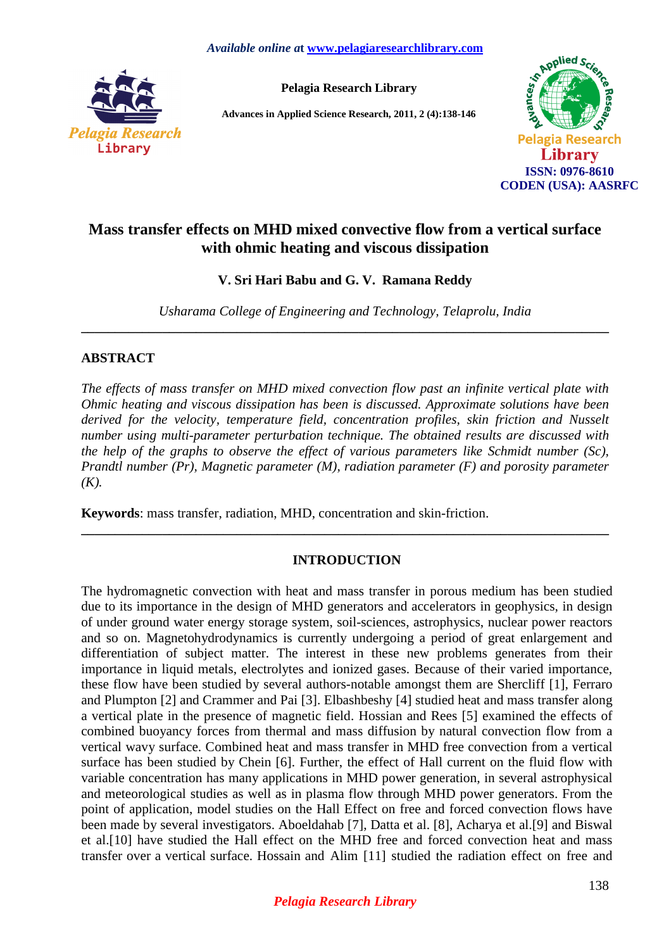

**Pelagia Research Library** 

**Advances in Applied Science Research, 2011, 2 (4):138-146** 



# **Mass transfer effects on MHD mixed convective flow from a vertical surface with ohmic heating and viscous dissipation**

**V. Sri Hari Babu and G. V. Ramana Reddy** 

*Usharama College of Engineering and Technology, Telaprolu, India*  **\_\_\_\_\_\_\_\_\_\_\_\_\_\_\_\_\_\_\_\_\_\_\_\_\_\_\_\_\_\_\_\_\_\_\_\_\_\_\_\_\_\_\_\_\_\_\_\_\_\_\_\_\_\_\_\_\_\_\_\_\_\_\_\_\_\_\_\_\_\_\_\_\_\_\_\_\_\_**

## **ABSTRACT**

*The effects of mass transfer on MHD mixed convection flow past an infinite vertical plate with Ohmic heating and viscous dissipation has been is discussed. Approximate solutions have been derived for the velocity, temperature field, concentration profiles, skin friction and Nusselt number using multi-parameter perturbation technique. The obtained results are discussed with the help of the graphs to observe the effect of various parameters like Schmidt number (Sc), Prandtl number (Pr), Magnetic parameter (M), radiation parameter (F) and porosity parameter*   $(K).$ 

**Keywords**: mass transfer, radiation, MHD, concentration and skin-friction.

## **INTRODUCTION**

**\_\_\_\_\_\_\_\_\_\_\_\_\_\_\_\_\_\_\_\_\_\_\_\_\_\_\_\_\_\_\_\_\_\_\_\_\_\_\_\_\_\_\_\_\_\_\_\_\_\_\_\_\_\_\_\_\_\_\_\_\_\_\_\_\_\_\_\_\_\_\_\_\_\_\_\_\_\_**

The hydromagnetic convection with heat and mass transfer in porous medium has been studied due to its importance in the design of MHD generators and accelerators in geophysics, in design of under ground water energy storage system, soil-sciences, astrophysics, nuclear power reactors and so on. Magnetohydrodynamics is currently undergoing a period of great enlargement and differentiation of subject matter. The interest in these new problems generates from their importance in liquid metals, electrolytes and ionized gases. Because of their varied importance, these flow have been studied by several authors-notable amongst them are Shercliff [1], Ferraro and Plumpton [2] and Crammer and Pai [3]. Elbashbeshy [4] studied heat and mass transfer along a vertical plate in the presence of magnetic field. Hossian and Rees [5] examined the effects of combined buoyancy forces from thermal and mass diffusion by natural convection flow from a vertical wavy surface. Combined heat and mass transfer in MHD free convection from a vertical surface has been studied by Chein [6]. Further, the effect of Hall current on the fluid flow with variable concentration has many applications in MHD power generation, in several astrophysical and meteorological studies as well as in plasma flow through MHD power generators. From the point of application, model studies on the Hall Effect on free and forced convection flows have been made by several investigators. Aboeldahab [7], Datta et al. [8], Acharya et al.[9] and Biswal et al.[10] have studied the Hall effect on the MHD free and forced convection heat and mass transfer over a vertical surface. Hossain and Alim [11] studied the radiation effect on free and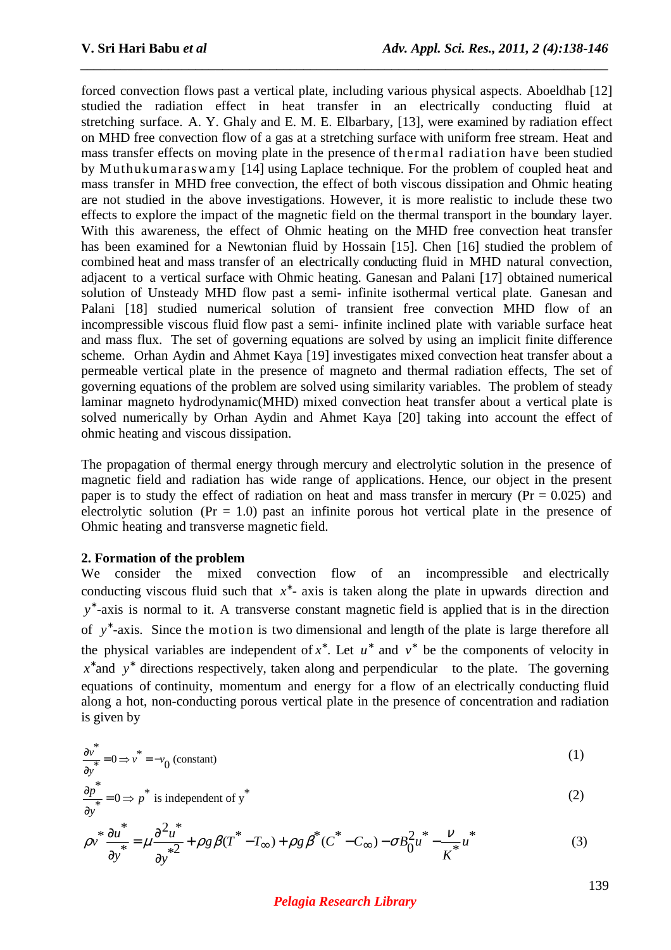forced convection flows past a vertical plate, including various physical aspects. Aboeldhab [12] studied the radiation effect in heat transfer in an electrically conducting fluid at stretching surface. A. Y. Ghaly and E. M. E. Elbarbary, [13], were examined by radiation effect on MHD free convection flow of a gas at a stretching surface with uniform free stream. Heat and mass transfer effects on moving plate in the presence of thermal radiation have been studied by Muthukumaraswamy [14] using Laplace technique. For the problem of coupled heat and mass transfer in MHD free convection, the effect of both viscous dissipation and Ohmic heating are not studied in the above investigations. However, it is more realistic to include these two effects to explore the impact of the magnetic field on the thermal transport in the boundary layer. With this awareness, the effect of Ohmic heating on the MHD free convection heat transfer has been examined for a Newtonian fluid by Hossain [15]. Chen [16] studied the problem of combined heat and mass transfer of an electrically conducting fluid in MHD natural convection, adjacent to a vertical surface with Ohmic heating. Ganesan and Palani [17] obtained numerical solution of Unsteady MHD flow past a semi- infinite isothermal vertical plate. Ganesan and Palani [18] studied numerical solution of transient free convection MHD flow of an incompressible viscous fluid flow past a semi- infinite inclined plate with variable surface heat and mass flux. The set of governing equations are solved by using an implicit finite difference scheme. Orhan Aydin and Ahmet Kaya [19] investigates mixed convection heat transfer about a permeable vertical plate in the presence of magneto and thermal radiation effects, The set of governing equations of the problem are solved using similarity variables. The problem of steady laminar magneto hydrodynamic(MHD) mixed convection heat transfer about a vertical plate is solved numerically by Orhan Aydin and Ahmet Kaya [20] taking into account the effect of ohmic heating and viscous dissipation.

*\_\_\_\_\_\_\_\_\_\_\_\_\_\_\_\_\_\_\_\_\_\_\_\_\_\_\_\_\_\_\_\_\_\_\_\_\_\_\_\_\_\_\_\_\_\_\_\_\_\_\_\_\_\_\_\_\_\_\_\_\_\_\_\_\_\_\_\_\_\_\_\_\_\_\_\_\_\_*

The propagation of thermal energy through mercury and electrolytic solution in the presence of magnetic field and radiation has wide range of applications. Hence, our object in the present paper is to study the effect of radiation on heat and mass transfer in mercury ( $Pr = 0.025$ ) and electrolytic solution ( $Pr = 1.0$ ) past an infinite porous hot vertical plate in the presence of Ohmic heating and transverse magnetic field.

### **2. Formation of the problem**

We consider the mixed convection flow of an incompressible and electrically conducting viscous fluid such that *x* ∗ - axis is taken along the plate in upwards direction and *y* ∗ -axis is normal to it. A transverse constant magnetic field is applied that is in the direction of y<sup>\*</sup>-axis. Since the motion is two dimensional and length of the plate is large therefore all the physical variables are independent of  $x^*$ . Let  $u^*$  and  $v^*$  be the components of velocity in *x*<sup>\*</sup> and *y*<sup>\*</sup> directions respectively, taken along and perpendicular to the plate. The governing equations of continuity, momentum and energy for a flow of an electrically conducting fluid along a hot, non-conducting porous vertical plate in the presence of concentration and radiation is given by

$$
\frac{\partial v^*}{\partial y^*} = 0 \Longrightarrow v^* = -v_0 \text{ (constant)}
$$
 (1)

$$
\frac{\partial p^*}{\partial y^*} = 0 \Longrightarrow p^* \text{ is independent of } y^* \tag{2}
$$

$$
\rho v^* \frac{\partial u^*}{\partial y^*} = \mu \frac{\partial^2 u^*}{\partial y^*} + \rho g \beta (T^* - T_\infty) + \rho g \beta^* (C^* - C_\infty) - \sigma B_0^2 u^* - \frac{v}{K^*} u^* \tag{3}
$$

### *Pelagia Research Library*

139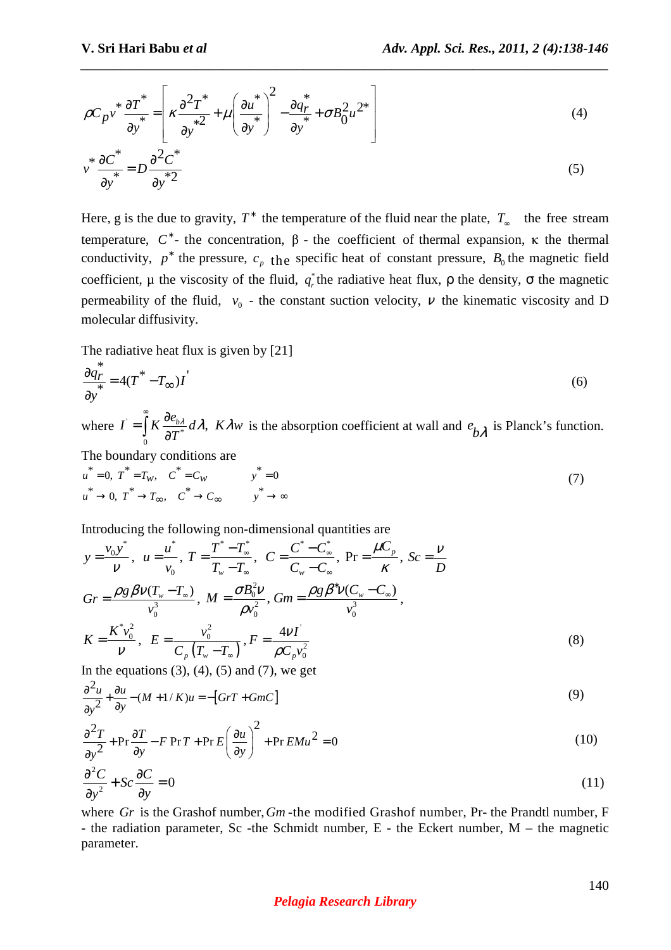$$
\rho C_p v^* \frac{\partial T^*}{\partial y^*} = \left[ \kappa \frac{\partial^2 T^*}{\partial y^{*2}} + \mu \left( \frac{\partial u^*}{\partial y^*} \right)^2 - \frac{\partial q^*}{\partial y^*} + \sigma B_0^2 u^{2*} \right]
$$
(4)

*\_\_\_\_\_\_\_\_\_\_\_\_\_\_\_\_\_\_\_\_\_\_\_\_\_\_\_\_\_\_\_\_\_\_\_\_\_\_\_\_\_\_\_\_\_\_\_\_\_\_\_\_\_\_\_\_\_\_\_\_\_\_\_\_\_\_\_\_\_\_\_\_\_\_\_\_\_\_*

$$
v^* \frac{\partial C^*}{\partial y^*} = D \frac{\partial^2 C^*}{\partial y^* 2} \tag{5}
$$

Here, g is the due to gravity,  $T^*$  the temperature of the fluid near the plate,  $T_{\infty}$  the free stream temperature,  $C^*$ - the concentration,  $\beta$ - the coefficient of thermal expansion, κ the thermal conductivity,  $p^*$  the pressure,  $c_p$  the specific heat of constant pressure,  $B_0$  the magnetic field coefficient,  $\mu$  the viscosity of the fluid,  $q_r^*$  the radiative heat flux,  $\rho$  the density,  $\sigma$  the magnetic permeability of the fluid,  $v_0$  - the constant suction velocity,  $v$  the kinematic viscosity and D molecular diffusivity.

The radiative heat flux is given by [21]

$$
\frac{\partial q_r^*}{\partial y^*} = 4(T^* - T_{\infty})I^{\prime}
$$
\n(6)

where  $I = \int K \frac{\partial \epsilon_{b\lambda}}{\partial T^*}$ 0  $I = \int K \frac{\partial e_{b\lambda}}{\partial x^*} d\lambda$ ,  $K \lambda w$ *T*  $\frac{\lambda}{\ast}$ dλ, Kλı  $=\int R\frac{\partial}{\partial x}$  $\int_{0}^{R} K \frac{\partial e_{b\lambda}}{\partial T^{*}} d\lambda$ ,  $K \lambda w$  is the absorption coefficient at wall and  $e_{b\lambda}$  is Planck's function.

The boundary conditions are

$$
u^* = 0, T^* = T_w, C^* = C_w \qquad y^* = 0
$$
  
\n
$$
u^* \to 0, T^* \to T_\infty, C^* \to C_\infty \qquad y^* \to \infty
$$
\n(7)

Introducing the following non-dimensional quantities are

$$
y = \frac{v_0 y^*}{V}, \quad u = \frac{u^*}{v_0}, \quad T = \frac{T^* - T^*}{T_w - T_w}, \quad C = \frac{C^* - C^*}{C_w - C_w}, \quad Pr = \frac{\mu C_p}{K}, \quad Sc = \frac{V}{D}
$$
\n
$$
Gr = \frac{\rho g \beta V(T_w - T_w)}{v_0^3}, \quad M = \frac{\sigma B_0^2 V}{\rho v_0^2}, \quad Gm = \frac{\rho g \beta^* V(C_w - C_w)}{v_0^3},
$$
\n
$$
K = \frac{K^* v_0^2}{V}, \quad E = \frac{v_0^2}{C_p (T_w - T_w)}, \quad F = \frac{4V I}{\rho C_p v_0^2}
$$
\nIn the equations (2), (4), (5) and (7), we get\n
$$
G = \frac{V}{V} \tag{8}
$$

In the equations  $(3)$ ,  $(4)$ ,  $(5)$  and  $(7)$ , we get

$$
\frac{\partial^2 u}{\partial y^2} + \frac{\partial u}{\partial y} - (M + 1/K)u = -[GrT + GmC]
$$
\n(9)

$$
\frac{\partial^2 T}{\partial y^2} + \Pr \frac{\partial T}{\partial y} - F \Pr T + \Pr E \left( \frac{\partial u}{\partial y} \right)^2 + \Pr E M u^2 = 0 \tag{10}
$$

$$
\frac{\partial^2 C}{\partial y^2} + Sc \frac{\partial C}{\partial y} = 0
$$
\n(11)

where *Gr* is the Grashof number, *Gm* -the modified Grashof number, Pr- the Prandtl number, F - the radiation parameter, Sc -the Schmidt number,  $E$  - the Eckert number,  $M$  – the magnetic parameter.

#### *Pelagia Research Library*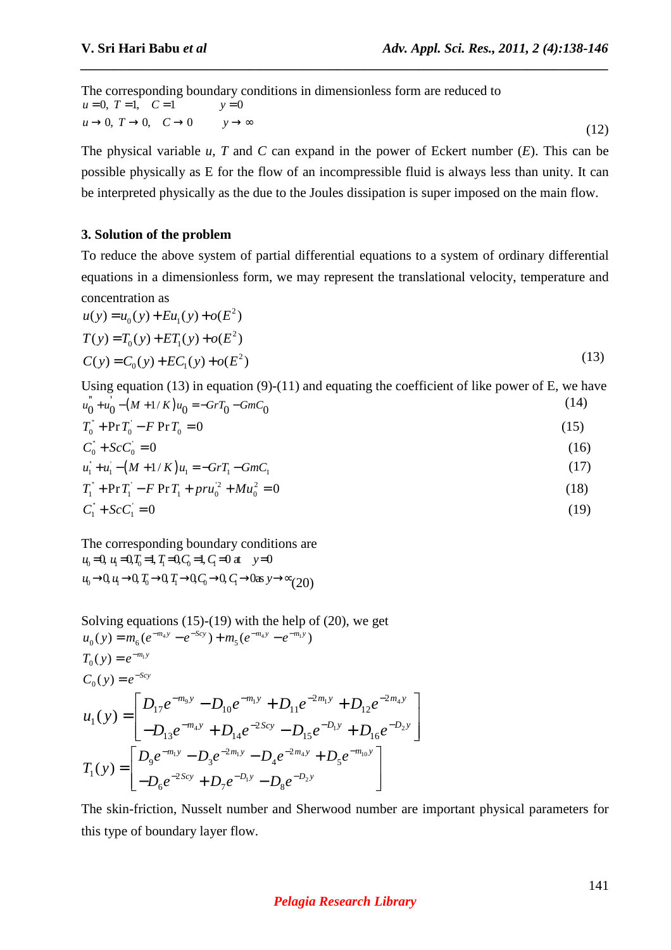The corresponding boundary conditions in dimensionless form are reduced to  $u = 0, T = 1, C = 1$   $y = 0$  $u \rightarrow 0, T \rightarrow 0, C \rightarrow 0 \qquad y \rightarrow \infty$ (12)

The physical variable *u, T* and *C* can expand in the power of Eckert number (*E*). This can be possible physically as E for the flow of an incompressible fluid is always less than unity. It can be interpreted physically as the due to the Joules dissipation is super imposed on the main flow.

*\_\_\_\_\_\_\_\_\_\_\_\_\_\_\_\_\_\_\_\_\_\_\_\_\_\_\_\_\_\_\_\_\_\_\_\_\_\_\_\_\_\_\_\_\_\_\_\_\_\_\_\_\_\_\_\_\_\_\_\_\_\_\_\_\_\_\_\_\_\_\_\_\_\_\_\_\_\_*

### **3. Solution of the problem**

To reduce the above system of partial differential equations to a system of ordinary differential equations in a dimensionless form, we may represent the translational velocity, temperature and concentration as

$$
u(y) = u_0(y) + Eu_1(y) + o(E^2)
$$
  
\n
$$
T(y) = T_0(y) + ET_1(y) + o(E^2)
$$
  
\n
$$
C(y) = C_0(y) + EC_1(y) + o(E^2)
$$
\n(13)

Using equation (13) in equation (9)-(11) and equating the coefficient of like power of E, we have  $u_0 + u_0 - (M + 1/K)u_0 = -GrT_0 - GmC_0$  (14)

$$
T_0 + \Pr{T_0 - F \Pr{T_0 = 0}}
$$
\n(15)

$$
C_0^* + ScC_0 = 0 \tag{16}
$$

$$
u_1 + u_1 - (M + 1/K)u_1 = -GrT_1 - GmC_1 \tag{17}
$$

$$
T_1^{\dagger} + \Pr T_1^{\dagger} - F \Pr T_1 + \text{pr} u_0^2 + \text{Mu}_0^2 = 0 \tag{18}
$$

$$
C_1^{\dagger} + \mathcal{S}c C_1^{\dagger} = 0 \tag{19}
$$

The corresponding boundary conditions are  $u_0 = 0$ ,  $u_1 = 0$ ,  $T_0 = 1$ ,  $T_1 = 0$ ,  $C_0 = 1$ ,  $C_1 = 0$  at  $y=0$  $u_0 \rightarrow 0$ ,  $u_1 \rightarrow 0$ ,  $T_0 \rightarrow 0$ ,  $T_1 \rightarrow 0$ ,  $C_0 \rightarrow 0$ ,  $C_1 \rightarrow 0$  as  $y \rightarrow \infty$  (20)

Solving equations (15)-(19) with the help of (20), we get  
\n
$$
u_0(y) = m_6(e^{-m_4y} - e^{-S_{cy}}) + m_5(e^{-m_4y} - e^{-m_1y})
$$
\n
$$
T_0(y) = e^{-m_1y}
$$
\n
$$
C_0(y) = e^{-S_{cy}}
$$
\n
$$
u_1(y) = \begin{bmatrix} D_{17}e^{-m_9y} - D_{10}e^{-m_1y} + D_{11}e^{-2m_1y} + D_{12}e^{-2m_4y} \\ -D_{13}e^{-m_4y} + D_{14}e^{-2S_{cy}} - D_{15}e^{-D_1y} + D_{16}e^{-D_2y} \end{bmatrix}
$$
\n
$$
T_1(y) = \begin{bmatrix} D_9e^{-m_1y} - D_3e^{-2m_1y} - D_4e^{-2m_4y} + D_5e^{-m_{10}y} \\ -D_6e^{-2S_{cy}} + D_7e^{-D_1y} - D_8e^{-D_2y} \end{bmatrix}
$$

The skin-friction, Nusselt number and Sherwood number are important physical parameters for this type of boundary layer flow.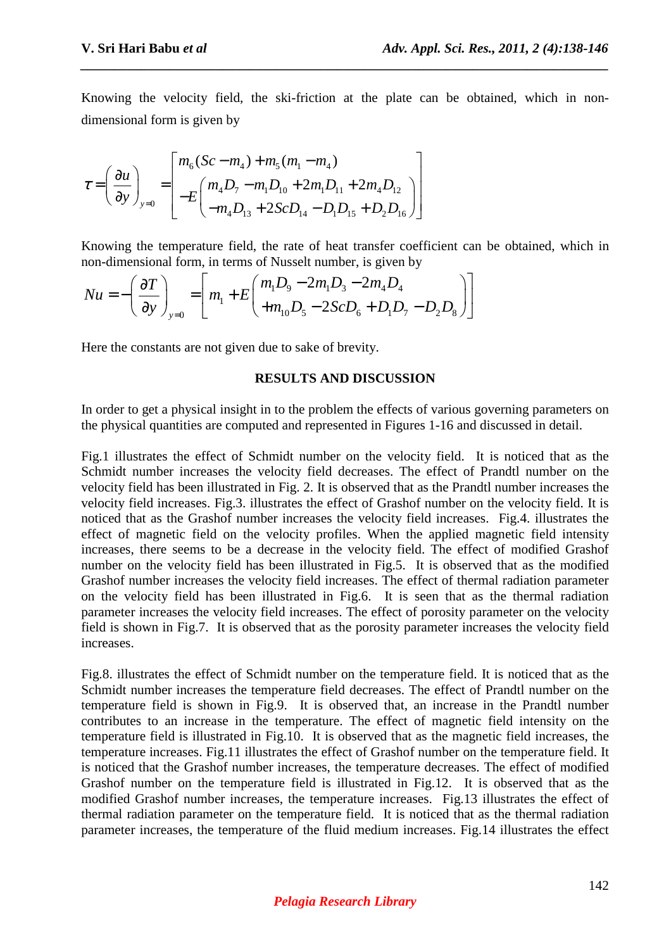Knowing the velocity field, the ski-friction at the plate can be obtained, which in nondimensional form is given by

*\_\_\_\_\_\_\_\_\_\_\_\_\_\_\_\_\_\_\_\_\_\_\_\_\_\_\_\_\_\_\_\_\_\_\_\_\_\_\_\_\_\_\_\_\_\_\_\_\_\_\_\_\_\_\_\_\_\_\_\_\_\_\_\_\_\_\_\_\_\_\_\_\_\_\_\_\_\_*

$$
\tau = \left(\frac{\partial u}{\partial y}\right)_{y=0} = \left[\begin{matrix} m_6(Sc - m_4) + m_5(m_1 - m_4) \\ -E\left(\frac{m_4D_7 - m_1D_{10} + 2m_1D_{11} + 2m_4D_{12}}{-m_4D_{13} + 2ScD_{14} - D_1D_{15} + D_2D_{16}}\end{matrix}\right]\right]
$$

Knowing the temperature field, the rate of heat transfer coefficient can be obtained, which in non-dimensional form, in terms of Nusselt number, is given by

$$
Nu = -\left(\frac{\partial T}{\partial y}\right)_{y=0} = \left[m_1 + E\left(\frac{m_1 D_9 - 2m_1 D_3 - 2m_4 D_4}{+m_{10} D_5 - 2ScD_6 + D_1 D_7 - D_2 D_8}\right)\right]
$$

Here the constants are not given due to sake of brevity.

### **RESULTS AND DISCUSSION**

In order to get a physical insight in to the problem the effects of various governing parameters on the physical quantities are computed and represented in Figures 1-16 and discussed in detail.

Fig.1 illustrates the effect of Schmidt number on the velocity field. It is noticed that as the Schmidt number increases the velocity field decreases. The effect of Prandtl number on the velocity field has been illustrated in Fig. 2. It is observed that as the Prandtl number increases the velocity field increases. Fig.3. illustrates the effect of Grashof number on the velocity field. It is noticed that as the Grashof number increases the velocity field increases. Fig.4. illustrates the effect of magnetic field on the velocity profiles. When the applied magnetic field intensity increases, there seems to be a decrease in the velocity field. The effect of modified Grashof number on the velocity field has been illustrated in Fig.5. It is observed that as the modified Grashof number increases the velocity field increases. The effect of thermal radiation parameter on the velocity field has been illustrated in Fig.6. It is seen that as the thermal radiation parameter increases the velocity field increases. The effect of porosity parameter on the velocity field is shown in Fig.7. It is observed that as the porosity parameter increases the velocity field increases.

Fig.8. illustrates the effect of Schmidt number on the temperature field. It is noticed that as the Schmidt number increases the temperature field decreases. The effect of Prandtl number on the temperature field is shown in Fig.9. It is observed that, an increase in the Prandtl number contributes to an increase in the temperature. The effect of magnetic field intensity on the temperature field is illustrated in Fig.10. It is observed that as the magnetic field increases, the temperature increases. Fig.11 illustrates the effect of Grashof number on the temperature field. It is noticed that the Grashof number increases, the temperature decreases. The effect of modified Grashof number on the temperature field is illustrated in Fig.12. It is observed that as the modified Grashof number increases, the temperature increases. Fig.13 illustrates the effect of thermal radiation parameter on the temperature field. It is noticed that as the thermal radiation parameter increases, the temperature of the fluid medium increases. Fig.14 illustrates the effect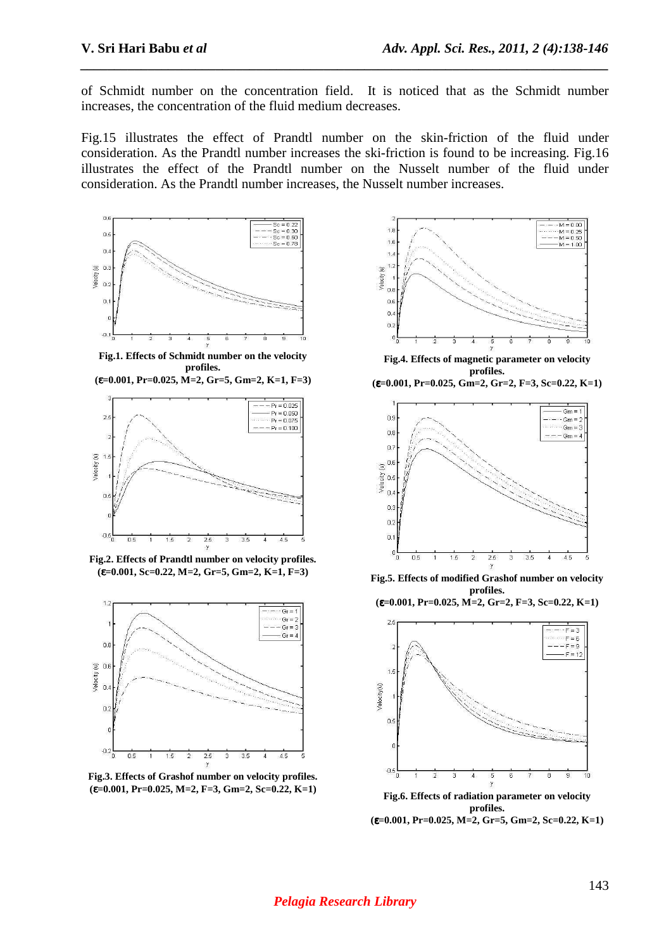of Schmidt number on the concentration field. It is noticed that as the Schmidt number increases, the concentration of the fluid medium decreases.

*\_\_\_\_\_\_\_\_\_\_\_\_\_\_\_\_\_\_\_\_\_\_\_\_\_\_\_\_\_\_\_\_\_\_\_\_\_\_\_\_\_\_\_\_\_\_\_\_\_\_\_\_\_\_\_\_\_\_\_\_\_\_\_\_\_\_\_\_\_\_\_\_\_\_\_\_\_\_*

Fig.15 illustrates the effect of Prandtl number on the skin-friction of the fluid under consideration. As the Prandtl number increases the ski-friction is found to be increasing. Fig.16 illustrates the effect of the Prandtl number on the Nusselt number of the fluid under consideration. As the Prandtl number increases, the Nusselt number increases.



**Fig.1. Effects of Schmidt number on the velocity profiles.** 





**Fig.2. Effects of Prandtl number on velocity profiles. (**ε**=0.001, Sc=0.22, M=2, Gr=5, Gm=2, K=1, F=3)** 



**Fig.3. Effects of Grashof number on velocity profiles. (**ε**=0.001, Pr=0.025, M=2, F=3, Gm=2, Sc=0.22, K=1)** 



**Fig.4. Effects of magnetic parameter on velocity profiles.** 





**Fig.5. Effects of modified Grashof number on velocity profiles. (**ε**=0.001, Pr=0.025, M=2, Gr=2, F=3, Sc=0.22, K=1)** 

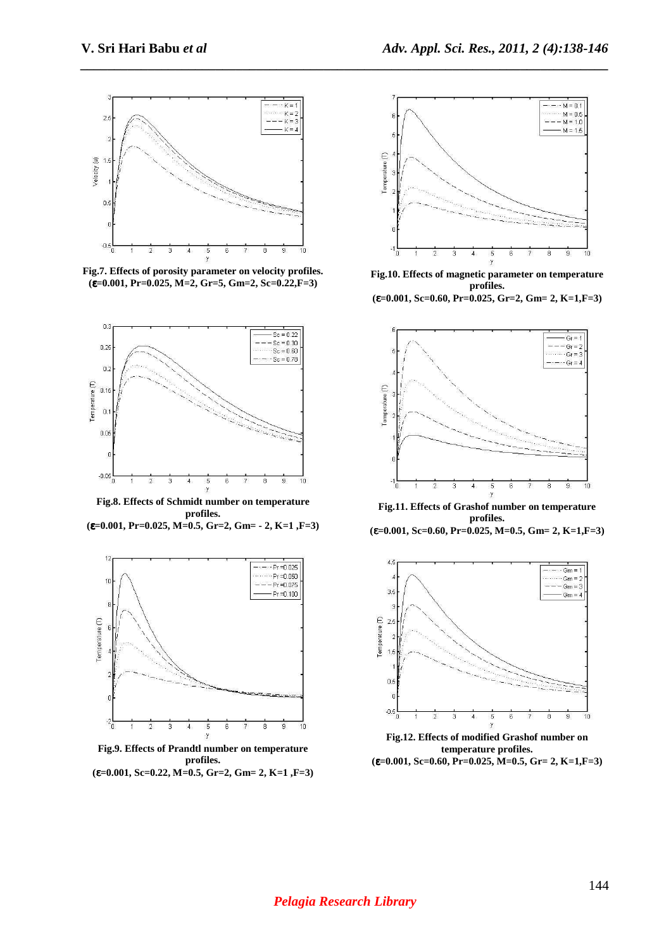*\_\_\_\_\_\_\_\_\_\_\_\_\_\_\_\_\_\_\_\_\_\_\_\_\_\_\_\_\_\_\_\_\_\_\_\_\_\_\_\_\_\_\_\_\_\_\_\_\_\_\_\_\_\_\_\_\_\_\_\_\_\_\_\_\_\_\_\_\_\_\_\_\_\_\_\_\_\_*



**Fig.7. Effects of porosity parameter on velocity profiles. (**ε**=0.001, Pr=0.025, M=2, Gr=5, Gm=2, Sc=0.22,F=3)** 



**Fig.8. Effects of Schmidt number on temperature profiles.** 

**(**ε**=0.001, Pr=0.025, M=0.5, Gr=2, Gm= - 2, K=1 ,F=3)** 



**Fig.9. Effects of Prandtl number on temperature profiles. (**ε**=0.001, Sc=0.22, M=0.5, Gr=2, Gm= 2, K=1 ,F=3)** 



**Fig.10. Effects of magnetic parameter on temperature profiles.** 

**(**ε**=0.001, Sc=0.60, Pr=0.025, Gr=2, Gm= 2, K=1,F=3)** 



**Fig.11. Effects of Grashof number on temperature profiles. (**ε**=0.001, Sc=0.60, Pr=0.025, M=0.5, Gm= 2, K=1,F=3)** 



**Fig.12. Effects of modified Grashof number on temperature profiles. (**ε**=0.001, Sc=0.60, Pr=0.025, M=0.5, Gr= 2, K=1,F=3)**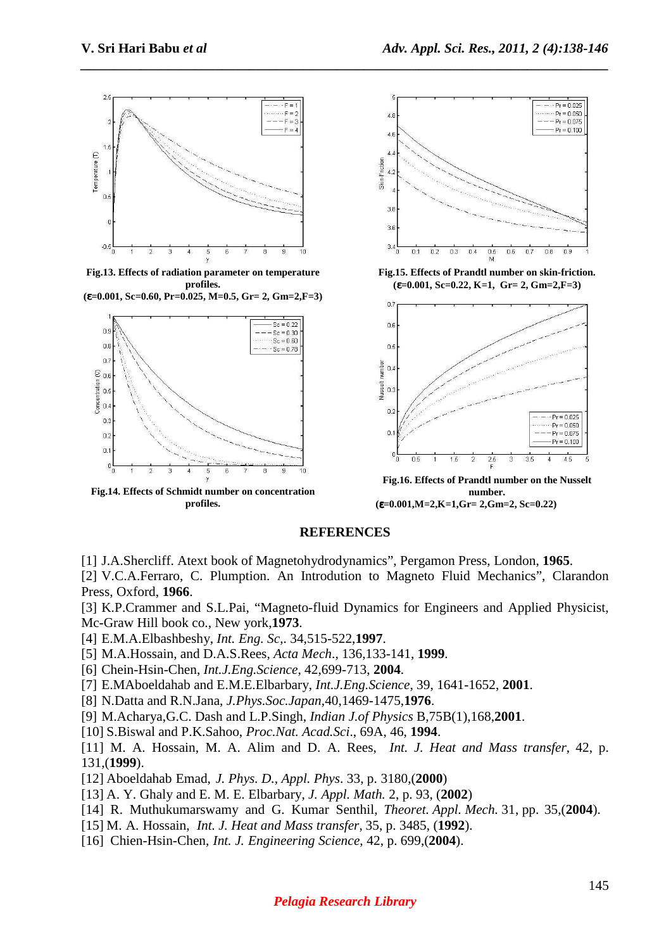

**Fig.13. Effects of radiation parameter on temperature profiles.** 

**(**ε**=0.001, Sc=0.60, Pr=0.025, M=0.5, Gr= 2, Gm=2,F=3)** 



**Fig.14. Effects of Schmidt number on concentration profiles.** 



**Fig.15. Effects of Prandtl number on skin-friction. (**ε**=0.001, Sc=0.22, K=1, Gr= 2, Gm=2,F=3)** 



**number. (**ε**=0.001,M=2,K=1,Gr= 2,Gm=2, Sc=0.22)** 

#### **REFERENCES**

*\_\_\_\_\_\_\_\_\_\_\_\_\_\_\_\_\_\_\_\_\_\_\_\_\_\_\_\_\_\_\_\_\_\_\_\_\_\_\_\_\_\_\_\_\_\_\_\_\_\_\_\_\_\_\_\_\_\_\_\_\_\_\_\_\_\_\_\_\_\_\_\_\_\_\_\_\_\_*

[1] J.A.Shercliff. Atext book of Magnetohydrodynamics", Pergamon Press, London, **1965**.

[2] V.C.A.Ferraro, C. Plumption. An Introdution to Magneto Fluid Mechanics", Clarandon Press, Oxford, **1966**.

[3] K.P.Crammer and S.L.Pai, "Magneto-fluid Dynamics for Engineers and Applied Physicist, Mc-Graw Hill book co., New york,**1973**.

- [4] E.M.A.Elbashbeshy, *Int. Eng. Sc*,. 34,515-522,**1997**.
- [5] M.A.Hossain, and D.A.S.Rees, *Acta Mech*., 136,133-141, **1999**.
- [6] Chein-Hsin-Chen, *Int.J.Eng.Science*, 42,699-713, **2004**.
- [7] E.MAboeldahab and E.M.E.Elbarbary, *Int.J.Eng.Science*, 39, 1641-1652, **2001**.
- [8] N.Datta and R.N.Jana, *J.Phys.Soc.Japan*,40,1469-1475,**1976**.
- [9] M.Acharya,G.C. Dash and L.P.Singh, *Indian J.of Physics* B,75B(1),168,**2001**.
- [10] S.Biswal and P.K.Sahoo, *Proc.Nat. Acad.Sci*., 69A, 46, **1994**.
- [11] M. A. Hossain, M. A. Alim and D. A. Rees, *Int. J. Heat and Mass transfer*, 42, p. 131,(**1999**).
- [12] Aboeldahab Emad, *J. Phys. D., Appl. Phys*. 33, p. 3180,(**2000**)
- [13] A. Y. Ghaly and E. M. E. Elbarbary, *J. Appl. Math.* 2, p. 93, (**2002**)
- [14] R. Muthukumarswamy and G. Kumar Senthil, *Theoret. Appl. Mech.* 31, pp. 35,(**2004**).
- [15] M. A. Hossain, *Int. J. Heat and Mass transfer*, 35, p. 3485, (**1992**).
- [16] Chien-Hsin-Chen, *Int. J. Engineering Science*, 42, p. 699,(**2004**).